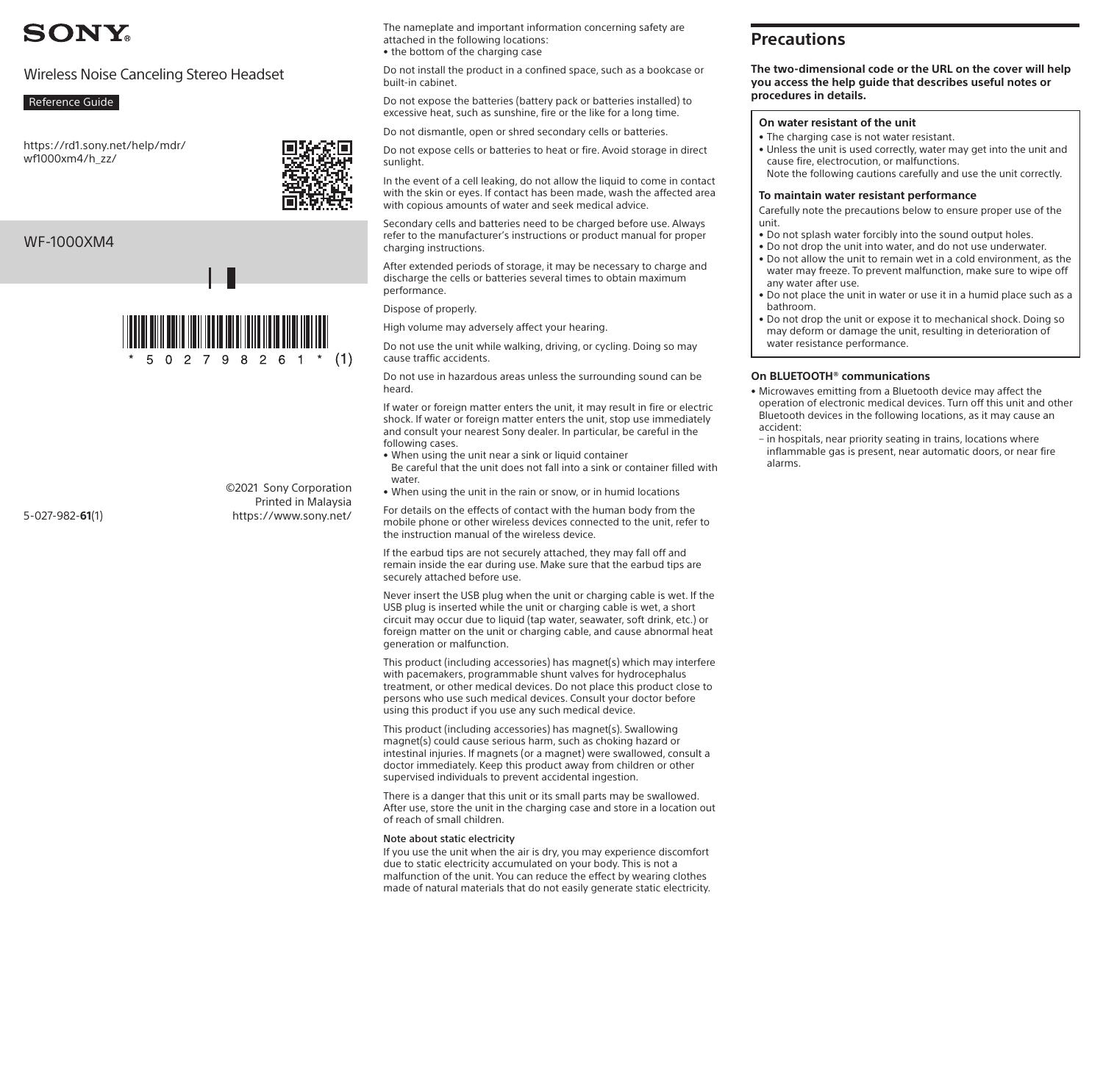# **SONY.**

# Wireless Noise Canceling Stereo Headset

### Reference Guide

[https://rd1.sony.net/help/mdr/](https://rd1.sony.net/help/mdr/wf1000xm4/h_zz/)  [wf1000xm4/h\\_zz/](https://rd1.sony.net/help/mdr/wf1000xm4/h_zz/)

# WF-1000XM4

5-027-982-**61**(1)



 $2798261*$  (1)

©2021 Sony Corporation Printed in Malaysia https://www.sony.net/

The nameplate and important information concerning safety are attached in the following locations: • the bottom of the charging case

Do not install the product in a confined space, such as a bookcase or built-in cabinet.

Do not expose the batteries (battery pack or batteries installed) to excessive heat, such as sunshine, fire or the like for a long time.

Do not dismantle, open or shred secondary cells or batteries.

Do not expose cells or batteries to heat or fire. Avoid storage in direct sunlight.

In the event of a cell leaking, do not allow the liquid to come in contact with the skin or eyes. If contact has been made, wash the affected area with copious amounts of water and seek medical advice.

Secondary cells and batteries need to be charged before use. Always refer to the manufacturer's instructions or product manual for proper charging instructions.

After extended periods of storage, it may be necessary to charge and discharge the cells or batteries several times to obtain maximum performance.

#### Dispose of properly.

High volume may adversely affect your hearing.

Do not use the unit while walking, driving, or cycling. Doing so may cause traffic accidents.

Do not use in hazardous areas unless the surrounding sound can be heard.

If water or foreign matter enters the unit, it may result in fire or electric shock. If water or foreign matter enters the unit, stop use immediately and consult your nearest Sony dealer. In particular, be careful in the following cases.

- When using the unit near a sink or liquid container Be careful that the unit does not fall into a sink or container filled with water
- When using the unit in the rain or snow, or in humid locations

For details on the effects of contact with the human body from the mobile phone or other wireless devices connected to the unit, refer to the instruction manual of the wireless device.

If the earbud tips are not securely attached, they may fall off and remain inside the ear during use. Make sure that the earbud tips are securely attached before use.

Never insert the USB plug when the unit or charging cable is wet. If the USB plug is inserted while the unit or charging cable is wet, a short circuit may occur due to liquid (tap water, seawater, soft drink, etc.) or foreign matter on the unit or charging cable, and cause abnormal heat generation or malfunction.

This product (including accessories) has magnet(s) which may interfere with pacemakers, programmable shunt valves for hydrocephalus treatment, or other medical devices. Do not place this product close to persons who use such medical devices. Consult your doctor before using this product if you use any such medical device.

This product (including accessories) has magnet(s). Swallowing magnet(s) could cause serious harm, such as choking hazard or intestinal injuries. If magnets (or a magnet) were swallowed, consult a doctor immediately. Keep this product away from children or other supervised individuals to prevent accidental ingestion.

There is a danger that this unit or its small parts may be swallowed. After use, store the unit in the charging case and store in a location out of reach of small children.

#### Note about static electricity

If you use the unit when the air is dry, you may experience discomfort due to static electricity accumulated on your body. This is not a malfunction of the unit. You can reduce the effect by wearing clothes made of natural materials that do not easily generate static electricity.

# **Precautions**

**The two-dimensional code or the URL on the cover will help you access the help guide that describes useful notes or procedures in details.**

#### **On water resistant of the unit**

- The charging case is not water resistant.
- Unless the unit is used correctly, water may get into the unit and cause fire, electrocution, or malfunctions. Note the following cautions carefully and use the unit correctly.

#### **To maintain water resistant performance**

Carefully note the precautions below to ensure proper use of the unit.

- Do not splash water forcibly into the sound output holes.
- Do not drop the unit into water, and do not use underwater. • Do not allow the unit to remain wet in a cold environment, as the water may freeze. To prevent malfunction, make sure to wipe off
- any water after use. • Do not place the unit in water or use it in a humid place such as a
- bathroom.
- Do not drop the unit or expose it to mechanical shock. Doing so may deform or damage the unit, resulting in deterioration of water resistance performance.

#### **On BLUETOOTH® communications**

- Microwaves emitting from a Bluetooth device may affect the operation of electronic medical devices. Turn off this unit and other Bluetooth devices in the following locations, as it may cause an accident:
- in hospitals, near priority seating in trains, locations where inflammable gas is present, near automatic doors, or near fire alarms.